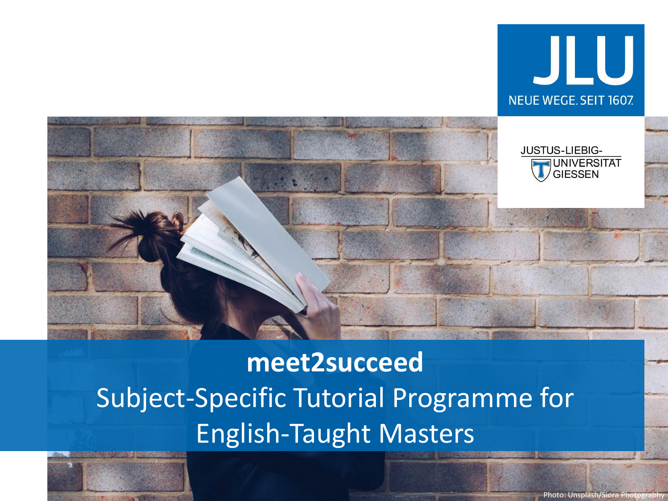

# **meet2succeed** Subject-Specific Tutorial Programme for English-Taught Masters



JLU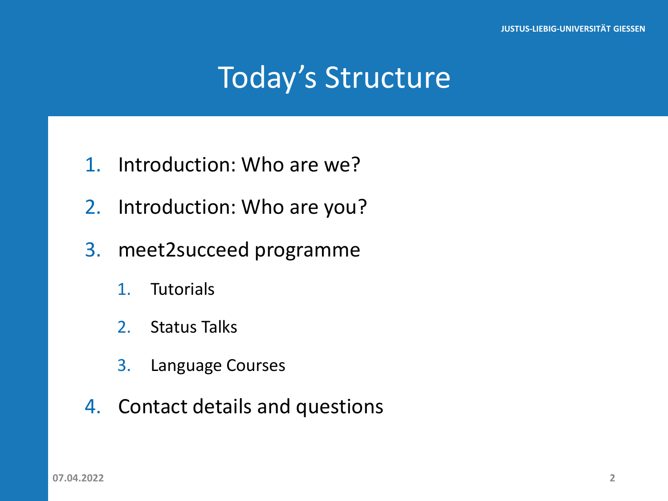# Today's Structure

- 1. Introduction: Who are we?
- 2. Introduction: Who are you?
- 3. meet2succeed programme
	- 1. Tutorials
	- 2. Status Talks
	- 3. Language Courses
- 4. Contact details and questions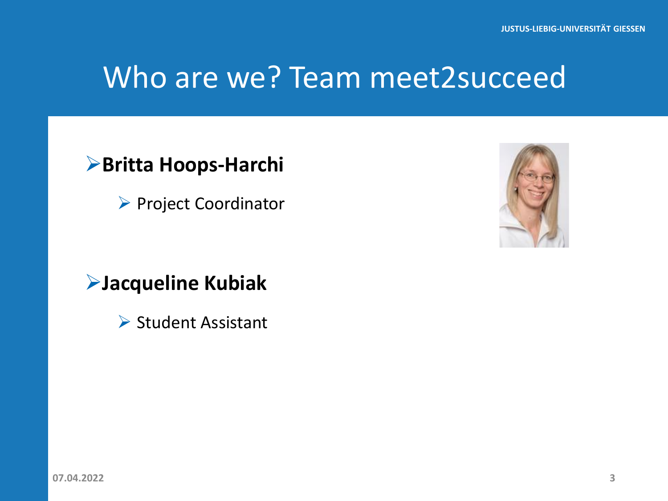# Who are we? Team meet2succeed

#### **Britta Hoops-Harchi**

▶ Project Coordinator

#### **Jacqueline Kubiak**

 $\triangleright$  Student Assistant

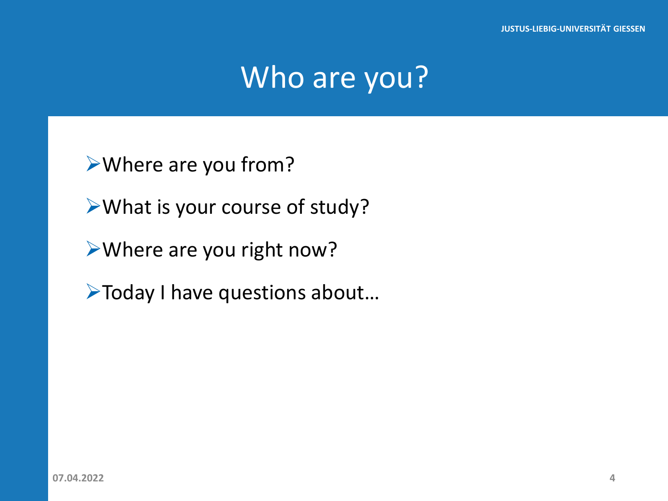# Who are you?

Where are you from?

What is your course of study?

Where are you right now?

Today I have questions about…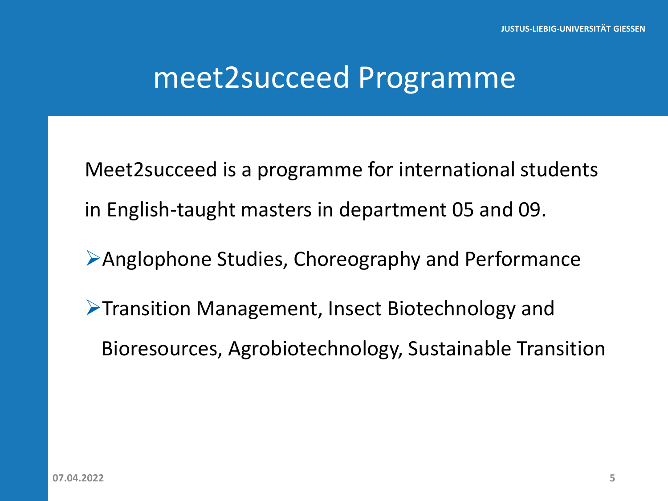### meet2succeed Programme

Meet2succeed is a programme for international students in English-taught masters in department 05 and 09.

- Anglophone Studies, Choreography and Performance
- **Transition Management, Insect Biotechnology and** Bioresources, Agrobiotechnology, Sustainable Transition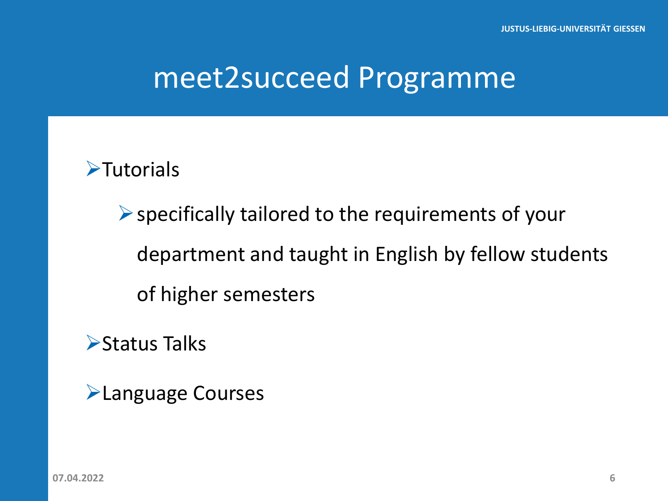# meet2succeed Programme

**>Tutorials** 

 $\triangleright$  specifically tailored to the requirements of your department and taught in English by fellow students of higher semesters

**≻Status Talks** 

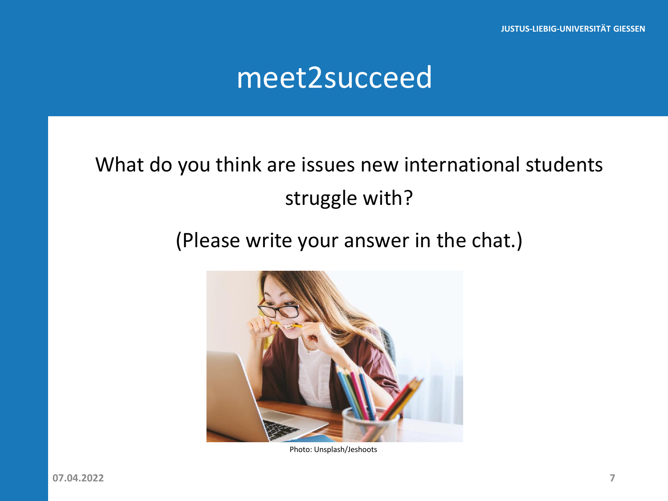### meet2succeed

#### What do you think are issues new international students struggle with?

#### (Please write your answer in the chat.)



Photo: Unsplash/Jeshoots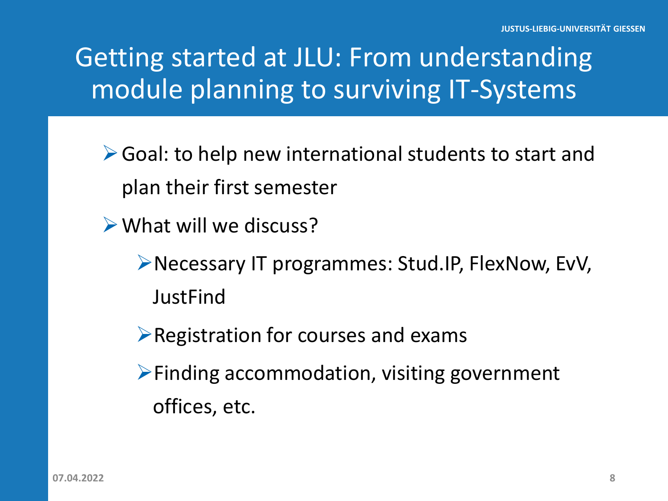# Getting started at JLU: From understanding module planning to surviving IT-Systems

- ▶ Goal: to help new international students to start and plan their first semester
- What will we discuss?
	- Necessary IT programmes: Stud.IP, FlexNow, EvV, **JustFind**
	- $\triangleright$  Registration for courses and exams
	- $\triangleright$  Finding accommodation, visiting government offices, etc.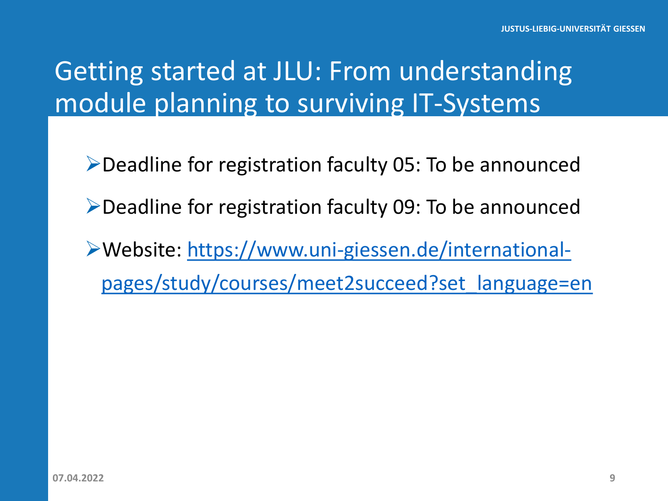# Getting started at JLU: From understanding module planning to surviving IT-Systems

- $\triangleright$  Deadline for registration faculty 05: To be announced
- Deadline for registration faculty 09: To be announced
- Website: https://www.uni-giessen.de/international[pages/study/courses/meet2succeed?set\\_language=en](https://www.uni-giessen.de/international-pages/study/courses/meet2succeed?set_language=en)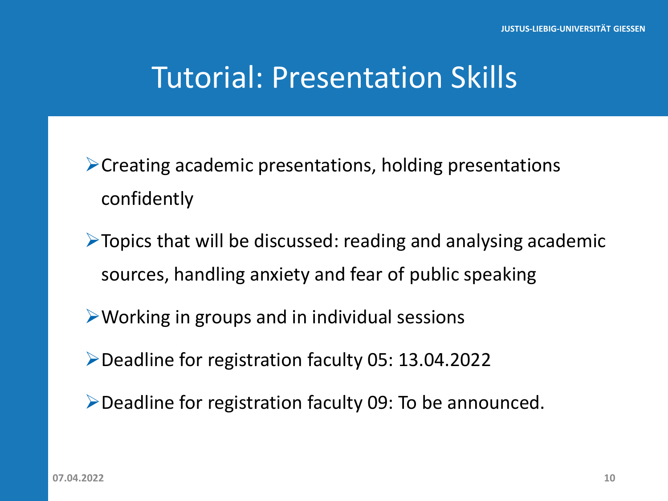# Tutorial: Presentation Skills

 $\triangleright$  Creating academic presentations, holding presentations confidently

 $\triangleright$  Topics that will be discussed: reading and analysing academic sources, handling anxiety and fear of public speaking

 $\triangleright$  Working in groups and in individual sessions

Deadline for registration faculty 05: 13.04.2022

Deadline for registration faculty 09: To be announced.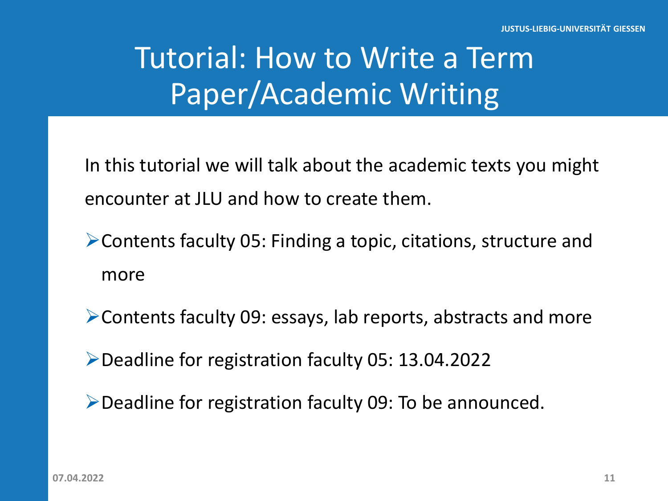# Tutorial: How to Write a Term Paper/Academic Writing

In this tutorial we will talk about the academic texts you might encounter at JLU and how to create them.

- Contents faculty 05: Finding a topic, citations, structure and more
- Contents faculty 09: essays, lab reports, abstracts and more

Deadline for registration faculty 05: 13.04.2022

Deadline for registration faculty 09: To be announced.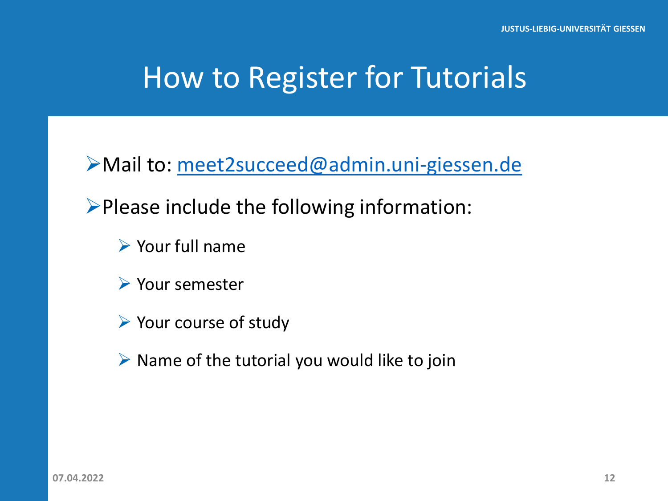# How to Register for Tutorials

Mail to: [meet2succeed@admin.uni-giessen.de](mailto:meet2succeed@admin.uni-giessen.de)

 $\triangleright$  Please include the following information:

 $\triangleright$  Your full name

Your semester

 $\triangleright$  Your course of study

 $\triangleright$  Name of the tutorial you would like to join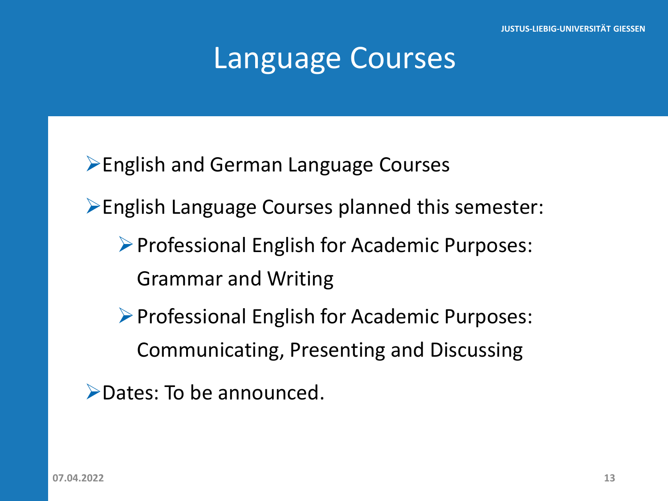# Language Courses

**English and German Language Courses** 

English Language Courses planned this semester:

Professional English for Academic Purposes: Grammar and Writing

 $\triangleright$  Professional English for Academic Purposes: Communicating, Presenting and Discussing

Dates: To be announced.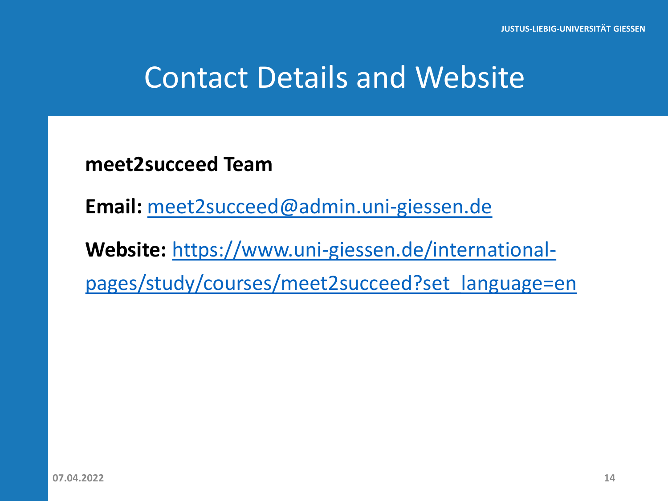# Contact Details and Website

**meet2succeed Team**

**Email:** [meet2succeed@admin.uni-giessen.de](mailto:meet2succeed@admin.uni-giessen.de)

**Website:** https://www.uni-giessen.de/international[pages/study/courses/meet2succeed?set\\_language=en](https://www.uni-giessen.de/international-pages/study/courses/meet2succeed?set_language=en)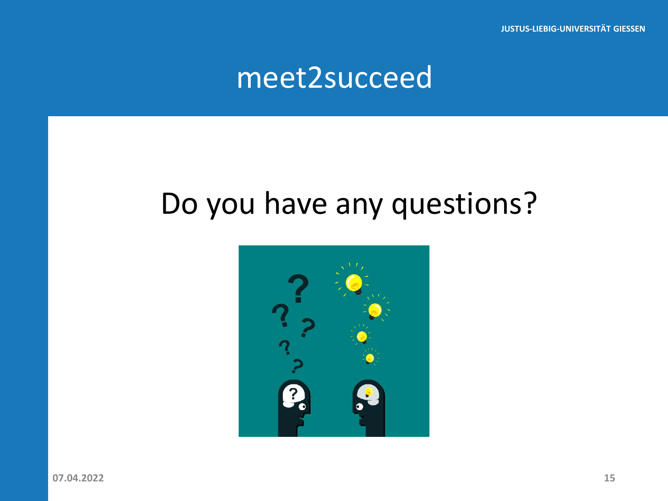**JUSTUS-LIEBIG-UNIVERSITÄT GIESSEN**

### meet2succeed

# Do you have any questions?



**07.04.2022 15**